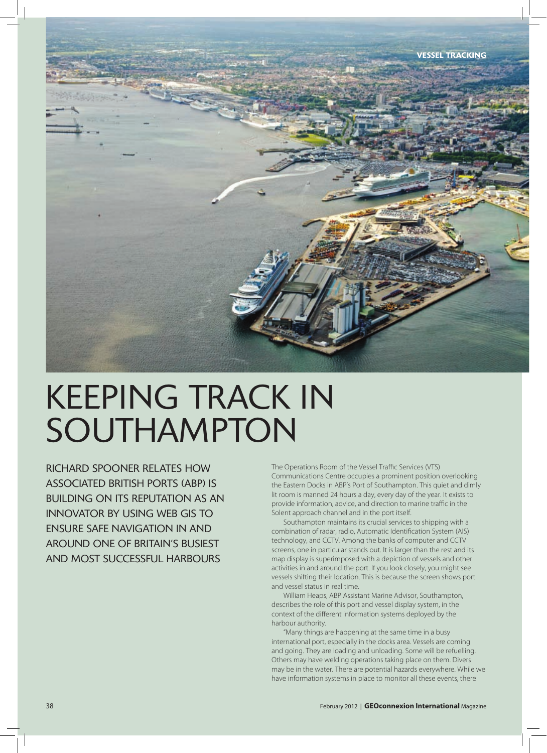

# keeping trAck in southAmpton

richArd spooner relAtes how AssociAted british ports (Abp) is building on its reputAtion As An innovAtor by using web gis to ensure sAFe nAvigAtion in And Around one oF britAin's busiest And most successFul hArbours

The Operations Room of the Vessel Traffic Services (VTS) Communications Centre occupies a prominent position overlooking the Eastern Docks in ABP's Port of Southampton. This quiet and dimly lit room is manned 24 hours a day, every day of the year. It exists to provide information, advice, and direction to marine traffic in the Solent approach channel and in the port itself.

Southampton maintains its crucial services to shipping with a combination of radar, radio, Automatic Identification System (AIS) technology, and CCTV. Among the banks of computer and CCTV screens, one in particular stands out. It is larger than the rest and its map display is superimposed with a depiction of vessels and other activities in and around the port. If you look closely, you might see vessels shifting their location. This is because the screen shows port and vessel status in real time.

William Heaps, ABP Assistant Marine Advisor, Southampton, describes the role of this port and vessel display system, in the context of the different information systems deployed by the harbour authority.

"Many things are happening at the same time in a busy international port, especially in the docks area. Vessels are coming and going. They are loading and unloading. Some will be refuelling. Others may have welding operations taking place on them. Divers may be in the water. There are potential hazards everywhere. While we have information systems in place to monitor all these events, there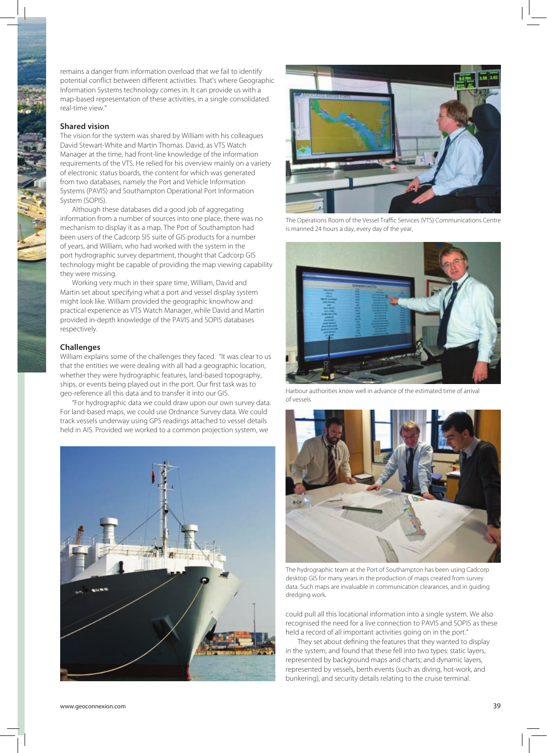remains a danger from information overload that we fail to identify potential conflict between different activities. That's where Geographic Information Systems technology comes in. It can provide us with a map-based representation of these activities, in a single consolidated real-time view."

# **Shared vision**

The vision for the system was shared by William with his colleagues David Stewart-White and Martin Thomas. David, as VTS Watch Manager at the time, had front-line knowledge of the information requirements of the VTS. He relied for his overview mainly on a variety of electronic status boards, the content for which was generated from two databases, namely the Port and Vehicle Information Systems (PAVIS) and Southampton Operational Port Information System (SOPIS).

Although these databases did a good job of aggregating information from a number of sources into one place, there was no mechanism to display it as a map. The Port of Southampton had been users of the Cadcorp SIS suite of GIS products for a number of years, and William, who had worked with the system in the port hydrographic survey department, thought that Cadcorp GIS technology might be capable of providing the map viewing capability they were missing.

Working very much in their spare time, William, David and Martin set about specifying what a port and vessel display system might look like. William provided the geographic knowhow and practical experience as VTS Watch Manager, while David and Martin provided in-depth knowledge of the PAVIS and SOPIS databases respectively.

#### **Challenges**

William explains some of the challenges they faced. "It was clear to us that the entities we were dealing with all had a geographic location, whether they were hydrographic features, land-based topography, ships, or events being played out in the port. Our first task was to geo-reference all this data and to transfer it into our GIS.

"For hydrographic data we could draw upon our own survey data. For land-based maps, we could use Ordnance Survey data. We could track vessels underway using GPS readings attached to vessel details held in AIS. Provided we worked to a common projection system, we





The Operations Room of the Vessel Traffic Services (VTS) Communications Centre is manned 24 hours a day, every day of the year,



Harbour authorities know well in advance of the estimated time of arrival of vessels



The hydrographic team at the Port of Southampton has been using Cadcorp desktop GIS for many years in the production of maps created from survey data. Such maps are invaluable in communication clearances, and in guiding dredging work.

could pull all this locational information into a single system. We also recognised the need for a live connection to PAVIS and SOPIS as these held a record of all important activities going on in the port."

They set about defining the features that they wanted to display in the system, and found that these fell into two types: static layers, represented by background maps and charts; and dynamic layers, represented by vessels, berth events (such as diving, hot-work, and bunkering), and security details relating to the cruise terminal.